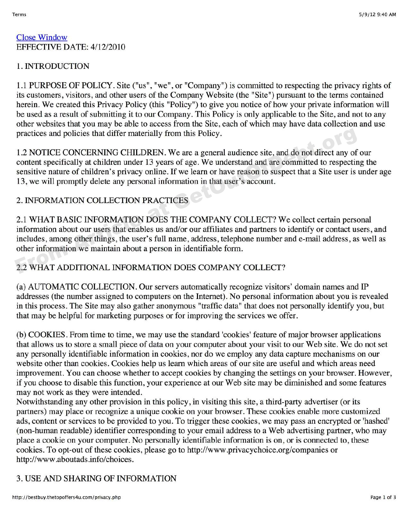#### Close Window EFFECTIVE DATE: 4/12/2010

### 1. INTRODUCTION

1.1 PURPOSE OF POLICY. Site ("us", "we", or "Company" ) is committed to respecting the privacy rights of its customers, visitors, and other users of the Company Website (the "Site") pursuant to the terms contained herein. We created this Privacy Policy (this "Policy") to give you notice of how your private information will be used as a result of submitting it to our Company. This Policy is only applicable to the Site, and not to any other websites that you may be able to access from the Site, each of which may have data collection and use practices and policies that differ materially from this Policy.

1.2 NOTICE CONCERNING CHILDREN. We are a general audience site, and do not direct any of our content specifically at children under 13 years of age. We understand and are committed to respecting the sensitive nature of children's privacy online. If we learn or have reason to suspect that a Site user is under age 13, we will promptly delete any personal information in that user's account. practices and policies that differ materially from this Policy.<br>
1.2 NOTICE CONCERNING CHILDREN. We are a general audience site, and do not direct any of<br>
content specifically at children under 13 years of age. We understa

### 2. INFORMATION COLLECTION PRACTICES

2.1 WHAT BASIC INFORMATION DOES THE COMPANY COLLECT? We collect certain personal information about our users that enables us and/or our affiliates and partners to identify or contact users, and includes, among other things, the user's full name, address, telephone number and e-mail address, as well as other information we maintain about a person in identifiable form.

# 2.2 WHAT ADDITIONAL INFORMATION DOES COMPANY COLLECT?

(a) AUTOMATIC COLLECTION. Our servers automatically recognize visitors' domain names and IP addresses (the number assigned to computers on the Internet). No personal information about you is revealed in this process. The Site may also gather anonymous "traffic data" that does not personally identify you, but that may be helpful for marketing purposes or for improving the services we offer.

(b) COOKIES. From time to time, we may use the standard 'cookies' feature of major browser applications that allows us to store a small piece of data on your computer about your visit to our Web site. We do not set any personally identifiable information in cookies, nor do we employ any data capture mechanisms on our website other than cookies. Cookies help us learn which areas of our site are useful and which areas need improvement. You can choose whether to accept cookies by changing the settings on your browser. However, if you choose to disable this function, your experience at our Web site may be diminished and some features may not work as they were intended.

Notwithstanding any other provision in this policy, in visiting this site, a third-party advertiser (or its partners) may place or recognize a unique cookie on your browser. These cookies enable more customized ads, content or services to be provided to you. To trigger these cookies, we may pass an encrypted or 'hashed' (non-human readable) identifier corresponding to your email address to a Web advertising partner, who may place a cookie on your computer. No personally identifiable information is on, or is connected to, these cookies. To opt-out of these cookies, please go to http: //www.privacychoice.org/companies or http://www.aboutads.info/choices.

# 3. USE AND SHARING OF INFORMATION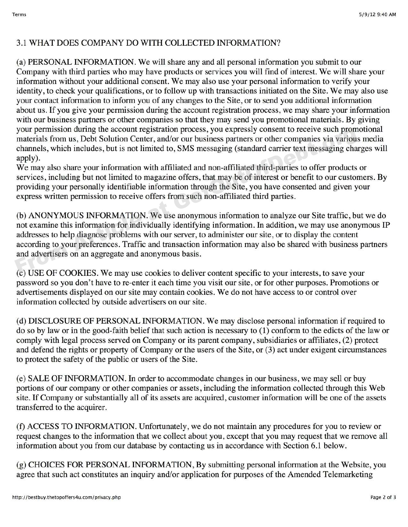### 3.1 WHAT DOES COMPANY DO WITH COLLECTED INFORMATION?

(a) PERSONAL INFORMATION. We will share any and all personal information you submit to our Company with third parties who may have products or services you will find of interest. We will share your information without your additional consent. We may also use your personal information to verify your identity, to check your qualifications, or to follow up with transactions initiated on the Site. We may also use your contact information to inform you of any changes to the Site, or to send you additional information about us. If you give your permission during the account registration process, we may share your information with our business partners or other companies so that they may send you promotional materials. By giving your permission during the account registration process, you expressly consent to receive such promotional materials from us, Debt Solution Center, and/or our business partners or other companies via various media channels, which includes, but is not limited to, SMS messaging (standard carrier text messaging charges will apply).

We may also share your information with affiliated and non-affiliated third-parties to offer products or services, including but not limited to magazine offers, that may be of interest or benefit to our customers. By providing your personally identifiable information through the Site, you have consented and given your express written permission to receive offers from such non-affiliated third parties.

(b) ANONYMOUS INFORMATION. We use anonymous information to analyze our Site traffic, but we do not examine this information for individually identifying information. In addition, we may use anonymous IP addresses to help diagnose problems with our server, to administer our site, or to display the content according to your preferences. Traffic and transaction information may also be shared with business partners and advertisers on an aggregate and anonymous basis. your permission during the account registration process, you express y conserver such prominent that in the channels, which includes, but is not limited to, SMS messaging (standard carrier text messaging channels, which in

(c) USE OF COOKIES. We may use cookies to deliver content specific to your interests, to save your password so you don't have to re-enter it each time you visit our site, or for other purposes. Promotions or advertisements displayed on our site may contain cookies. We do not have access to or control over information collected by outside advertisers on our site.

(d) DISCLOSURE OF PERSONAL INFORMATION. We may disclose personal information if required to do so by law or in the good-faith belief that such action is necessary to (I) conform to the edicts of the law or comply with legal process served on Company or its parent company, subsidiaries or affiliates, (2) protect and defend the rights or property of Company or the users of the Site, or (3) act under exigent circumstances to protect the safety of the public or users of the Site.

(e) SALE OF INFORMATION. In order to accommodate changes in our business, we may sell or buy portions of our company or other companies or assets, including the information collected through this Web site. If Company or substantially all of its assets are acquired, customer information will be one of the assets transferred to the acquirer.

(f) ACCESS TO INFORMATION. Unfortunately, we do not maintain any procedures for you to review or request changes to the information that we collect about you, except that you may request that we remove all information about you from our database by contacting us in accordance with Section 6.1 below.

(g) CHOICES FOR PERSONAL INFORMATION, By submitting personal information at the Website, you agree that such act constitutes an inquiry and/or application for purposes of the Amended Telemarketing